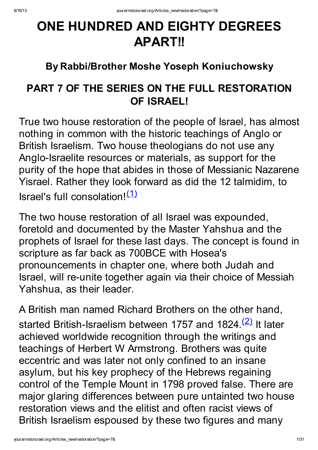# ONE HUNDRED AND EIGHTY DEGREES APART!!

## By Rabbi/Brother Moshe Yoseph Koniuchowsky

## PART 7 OF THE SERIES ON THE FULL RESTORATION OF ISRAEL!

True two house restoration of the people of Israel, has almost nothing in common with the historic teachings of Anglo or British Israelism. Two house theologians do not use any Anglo-Israelite resources or materials, as support for the purity of the hope that abides in those of Messianic Nazarene Yisrael. Rather they look forward as did the 12 talmidim, to Israel's full consolation!<sup>[\(1\)](http://yourarmstoisrael.org/Articles_new/restoration/?page=7&#N_1_)</sup>

The two house restoration of all Israel was expounded, foretold and documented by the Master Yahshua and the prophets of Israel for these last days. The concept is found in scripture as far back as 700BCE with Hosea's pronouncements in chapter one, where both Judah and Israel, will re-unite together again via their choice of Messiah Yahshua, as their leader.

A British man named Richard Brothers on the other hand, started British-Israelism between 1757 and 1824.<sup>[\(2\)](http://yourarmstoisrael.org/Articles_new/restoration/?page=7&#N_2_)</sup> It later achieved worldwide recognition through the writings and teachings of Herbert W Armstrong. Brothers was quite eccentric and was later not only confined to an insane asylum, but his key prophecy of the Hebrews regaining control of the Temple Mount in 1798 proved false. There are major glaring differences between pure untainted two house restoration views and the elitist and often racist views of British Israelism espoused by these two figures and many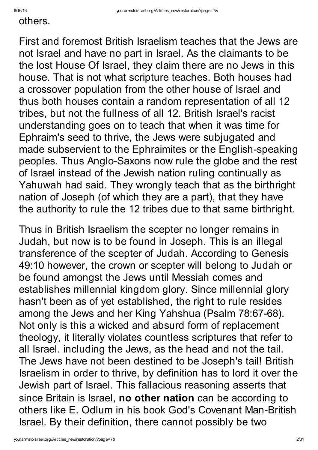#### others.

First and foremost British Israelism teaches that the Jews are not Israel and have no part in Israel. As the claimants to be the lost House Of Israel, they claim there are no Jews in this house. That is not what scripture teaches. Both houses had a crossover population from the other house of Israel and thus both houses contain a random representation of all 12 tribes, but not the fullness of all 12. British Israel's racist understanding goes on to teach that when it was time for Ephraim's seed to thrive, the Jews were subjugated and made subservient to the Ephraimites or the English-speaking peoples. Thus Anglo-Saxons now rule the globe and the rest of Israel instead of the Jewish nation ruling continually as Yahuwah had said. They wrongly teach that as the birthright nation of Joseph (of which they are a part), that they have the authority to rule the 12 tribes due to that same birthright.

Thus in British Israelism the scepter no longer remains in Judah, but now is to be found in Joseph. This is an illegal transference of the scepter of Judah. According to Genesis 49:10 however, the crown or scepter will belong to Judah or be found amongst the Jews until Messiah comes and establishes millennial kingdom glory. Since millennial glory hasn't been as of yet established, the right to rule resides among the Jews and her King Yahshua (Psalm 78:67-68). Not only is this a wicked and absurd form of replacement theology, it literally violates countless scriptures that refer to all Israel. including the Jews, as the head and not the tail. The Jews have not been destined to be Joseph's tail! British Israelism in order to thrive, by definition has to lord it over the Jewish part of Israel. This fallacious reasoning asserts that since Britain is Israel, no other nation can be according to others like E. Odlum in his book God's Covenant Man-British Israel. By their definition, there cannot possibly be two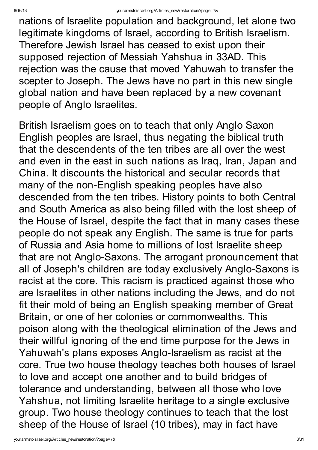nations of Israelite population and background, let alone two legitimate kingdoms of Israel, according to British Israelism. Therefore Jewish Israel has ceased to exist upon their supposed rejection of Messiah Yahshua in 33AD. This rejection was the cause that moved Yahuwah to transfer the scepter to Joseph. The Jews have no part in this new single global nation and have been replaced by a new covenant people of Anglo Israelites.

British Israelism goes on to teach that only Anglo Saxon English peoples are Israel, thus negating the biblical truth that the descendents of the ten tribes are all over the west and even in the east in such nations as Iraq, Iran, Japan and China. It discounts the historical and secular records that many of the non-English speaking peoples have also descended from the ten tribes. History points to both Central and South America as also being filled with the lost sheep of the House of Israel, despite the fact that in many cases these people do not speak any English. The same is true for parts of Russia and Asia home to millions of lost Israelite sheep that are not Anglo-Saxons. The arrogant pronouncement that all of Joseph's children are today exclusively Anglo-Saxons is racist at the core. This racism is practiced against those who are Israelites in other nations including the Jews, and do not fit their mold of being an English speaking member of Great Britain, or one of her colonies or commonwealths. This poison along with the theological elimination of the Jews and their willful ignoring of the end time purpose for the Jews in Yahuwah's plans exposes Anglo-Israelism as racist at the core. True two house theology teaches both houses of Israel to love and accept one another and to build bridges of tolerance and understanding, between all those who love Yahshua, not limiting Israelite heritage to a single exclusive group. Two house theology continues to teach that the lost sheep of the House of Israel (10 tribes), may in fact have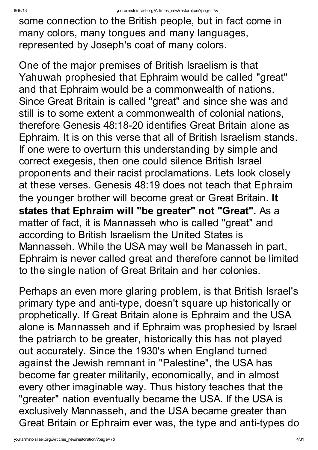some connection to the British people, but in fact come in many colors, many tongues and many languages, represented by Joseph's coat of many colors.

One of the major premises of British Israelism is that Yahuwah prophesied that Ephraim would be called "great" and that Ephraim would be a commonwealth of nations. Since Great Britain is called "great" and since she was and still is to some extent a commonwealth of colonial nations, therefore Genesis 48:18-20 identifies Great Britain alone as Ephraim. It is on this verse that all of British Israelism stands. If one were to overturn this understanding by simple and correct exegesis, then one could silence British Israel proponents and their racist proclamations. Lets look closely at these verses. Genesis 48:19 does not teach that Ephraim the younger brother will become great or Great Britain. It states that Ephraim will "be greater" not "Great". As a matter of fact, it is Mannasseh who is called "great" and according to British Israelism the United States is Mannasseh. While the USA may well be Manasseh in part, Ephraim is never called great and therefore cannot be limited to the single nation of Great Britain and her colonies.

Perhaps an even more glaring problem, is that British Israel's primary type and anti-type, doesn't square up historically or prophetically. If Great Britain alone is Ephraim and the USA alone is Mannasseh and if Ephraim was prophesied by Israel the patriarch to be greater, historically this has not played out accurately. Since the 1930's when England turned against the Jewish remnant in "Palestine" , the USA has become far greater militarily, economically, and in almost every other imaginable way. Thus history teaches that the "greater" nation eventually became the USA. If the USA is exclusively Mannasseh, and the USA became greater than Great Britain or Ephraim ever was, the type and anti-types do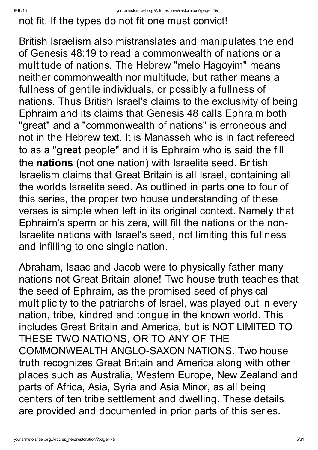not fit. If the types do not fit one must convict!

British Israelism also mistranslates and manipulates the end of Genesis 48:19 to read a commonwealth of nations or a multitude of nations. The Hebrew "melo Hagoyim" means neither commonwealth nor multitude, but rather means a fullness of gentile individuals, or possibly a fullness of nations. Thus British Israel's claims to the exclusivity of being Ephraim and its claims that Genesis 48 calls Ephraim both "great" and a "commonwealth of nations" is erroneous and not in the Hebrew text. It is Manasseh who is in fact refereed to as a "great people" and it is Ephraim who is said the fill the nations (not one nation) with Israelite seed. British Israelism claims that Great Britain is all Israel, containing all the worlds Israelite seed. As outlined in parts one to four of this series, the proper two house understanding of these verses is simple when left in its original context. Namely that Ephraim's sperm or his zera, will fill the nations or the non-Israelite nations with Israel's seed, not limiting this fullness and infilling to one single nation.

Abraham, Isaac and Jacob were to physically father many nations not Great Britain alone! Two house truth teaches that the seed of Ephraim, as the promised seed of physical multiplicity to the patriarchs of Israel, was played out in every nation, tribe, kindred and tongue in the known world. This includes Great Britain and America, but is NOT LIMITED TO THESE TWO NATIONS, OR TO ANY OF THE COMMONWEALTH ANGLO-SAXON NATIONS. Two house truth recognizes Great Britain and America along with other places such as Australia, Western Europe, New Zealand and parts of Africa, Asia, Syria and Asia Minor, as all being centers of ten tribe settlement and dwelling. These details are provided and documented in prior parts of this series.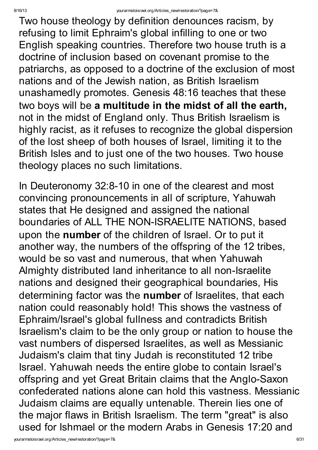Two house theology by definition denounces racism, by refusing to limit Ephraim's global infilling to one or two English speaking countries. Therefore two house truth is a doctrine of inclusion based on covenant promise to the patriarchs, as opposed to a doctrine of the exclusion of most nations and of the Jewish nation, as British Israelism unashamedly promotes. Genesis 48:16 teaches that these two boys will be a multitude in the midst of all the earth, not in the midst of England only. Thus British Israelism is highly racist, as it refuses to recognize the global dispersion of the lost sheep of both houses of Israel, limiting it to the British Isles and to just one of the two houses. Two house theology places no such limitations.

In Deuteronomy 32:8-10 in one of the clearest and most convincing pronouncements in all of scripture, Yahuwah states that He designed and assigned the national boundaries of ALL THE NON-ISRAELITE NATIONS, based upon the number of the children of Israel. Or to put it another way, the numbers of the offspring of the 12 tribes, would be so vast and numerous, that when Yahuwah Almighty distributed land inheritance to all non-Israelite nations and designed their geographical boundaries, His determining factor was the number of Israelites, that each nation could reasonably hold! This shows the vastness of Ephraim/Israel's global fullness and contradicts British Israelism's claim to be the only group or nation to house the vast numbers of dispersed Israelites, as well as Messianic Judaism's claim that tiny Judah is reconstituted 12 tribe Israel. Yahuwah needs the entire globe to contain Israel's offspring and yet Great Britain claims that the Anglo-Saxon confederated nations alone can hold this vastness. Messianic Judaism claims are equally untenable. Therein lies one of the major flaws in British Israelism. The term "great" is also used for Ishmael or the modern Arabs in Genesis 17:20 and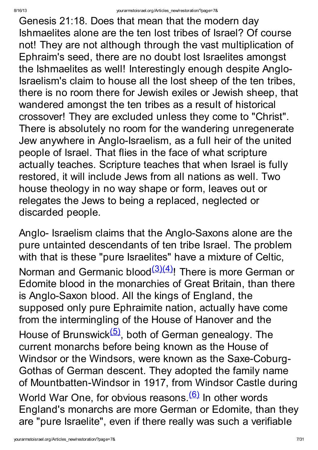Genesis 21:18. Does that mean that the modern day Ishmaelites alone are the ten lost tribes of Israel? Of course not! They are not although through the vast multiplication of Ephraim's seed, there are no doubt lost Israelites amongst the Ishmaelites as well! Interestingly enough despite Anglo-Israelism's claim to house all the lost sheep of the ten tribes, there is no room there for Jewish exiles or Jewish sheep, that wandered amongst the ten tribes as a result of historical crossover! They are excluded unless they come to "Christ". There is absolutely no room for the wandering unregenerate Jew anywhere in Anglo-Israelism, as a full heir of the united people of Israel. That flies in the face of what scripture actually teaches. Scripture teaches that when Israel is fully restored, it will include Jews from all nations as well. Two house theology in no way shape or form, leaves out or relegates the Jews to being a replaced, neglected or discarded people.

Anglo- Israelism claims that the Anglo-Saxons alone are the pure untainted descendants of ten tribe Israel. The problem with that is these "pure Israelites" have a mixture of Celtic, Norman and Germanic blood<sup>[\(3\)](http://yourarmstoisrael.org/Articles_new/restoration/?page=7&#N_3_)[\(4\)](http://yourarmstoisrael.org/Articles_new/restoration/?page=7&#N_4_)</sup>! There is more German or Edomite blood in the monarchies of Great Britain, than there is Anglo-Saxon blood. All the kings of England, the supposed only pure Ephraimite nation, actually have come from the intermingling of the House of Hanover and the House of Brunswick<sup>[\(5\)](http://yourarmstoisrael.org/Articles_new/restoration/?page=7&#N_5_)</sup>, both of German genealogy. The current monarchs before being known as the House of Windsor or the Windsors, were known as the Saxe-Coburg-Gothas of German descent. They adopted the family name of Mountbatten-Windsor in 1917, from Windsor Castle during World War One, for obvious reasons.<sup>[\(6\)](http://yourarmstoisrael.org/Articles_new/restoration/?page=7&#N_6_)</sup> In other words England's monarchs are more German or Edomite, than they are "pure Israelite" , even if there really was such a verifiable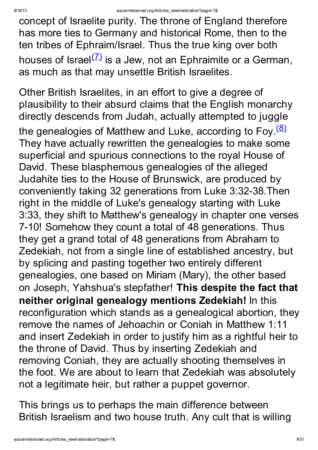concept of Israelite purity. The throne of England therefore has more ties to Germany and historical Rome, then to the ten tribes of Ephraim/Israel. Thus the true king over both houses of Israel<sup>[\(7\)](http://yourarmstoisrael.org/Articles_new/restoration/?page=7&#N_7_)</sup> is a Jew, not an Ephraimite or a German, as much as that may unsettle British Israelites.

Other British Israelites, in an effort to give a degree of plausibility to their absurd claims that the English monarchy directly descends from Judah, actually attempted to juggle the genealogies of Matthew and Luke, according to Foy.<sup>[\(8\)](http://yourarmstoisrael.org/Articles_new/restoration/?page=7&#N_8_)</sup> They have actually rewritten the genealogies to make some superficial and spurious connections to the royal House of David. These blasphemous genealogies of the alleged Judahite ties to the House of Brunswick, are produced by conveniently taking 32 generations from Luke 3:32-38.Then right in the middle of Luke's genealogy starting with Luke 3:33, they shift to Matthew's genealogy in chapter one verses 7-10! Somehow they count a total of 48 generations. Thus they get a grand total of 48 generations from Abraham to Zedekiah, not from a single line of established ancestry, but by splicing and pasting together two entirely different genealogies, one based on Miriam (Mary), the other based on Joseph, Yahshua's stepfather! This despite the fact that neither original genealogy mentions Zedekiah! In this reconfiguration which stands as a genealogical abortion, they remove the names of Jehoachin or Coniah in Matthew 1:11 and insert Zedekiah in order to justify him as a rightful heir to the throne of David. Thus by inserting Zedekiah and removing Coniah, they are actually shooting themselves in the foot. We are about to learn that Zedekiah was absolutely not a legitimate heir, but rather a puppet governor.

This brings us to perhaps the main difference between British Israelism and two house truth. Any cult that is willing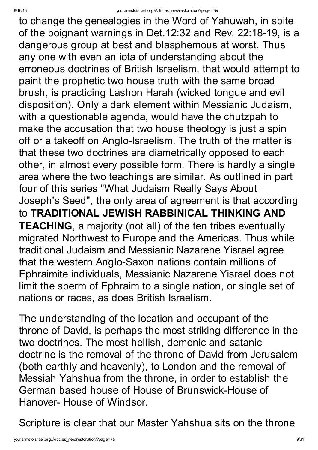to change the genealogies in the Word of Yahuwah, in spite of the poignant warnings in Det.12:32 and Rev. 22:18-19, is a dangerous group at best and blasphemous at worst. Thus any one with even an iota of understanding about the erroneous doctrines of British Israelism, that would attempt to paint the prophetic two house truth with the same broad brush, is practicing Lashon Harah (wicked tongue and evil disposition). Only a dark element within Messianic Judaism, with a questionable agenda, would have the chutzpah to make the accusation that two house theology is just a spin off or a takeoff on Anglo-Israelism. The truth of the matter is that these two doctrines are diametrically opposed to each other, in almost every possible form. There is hardly a single area where the two teachings are similar. As outlined in part four of this series "What Judaism Really Says About Joseph's Seed" , the only area of agreement is that according to TRADITIONAL JEWISH RABBINICAL THINKING AND TEACHING, a majority (not all) of the ten tribes eventually migrated Northwest to Europe and the Americas. Thus while traditional Judaism and Messianic Nazarene Yisrael agree that the western Anglo-Saxon nations contain millions of Ephraimite individuals, Messianic Nazarene Yisrael does not limit the sperm of Ephraim to a single nation, or single set of nations or races, as does British Israelism.

The understanding of the location and occupant of the throne of David, is perhaps the most striking difference in the two doctrines. The most hellish, demonic and satanic doctrine is the removal of the throne of David from Jerusalem (both earthly and heavenly), to London and the removal of Messiah Yahshua from the throne, in order to establish the German based house of House of Brunswick-House of Hanover- House of Windsor.

Scripture is clear that our Master Yahshua sits on the throne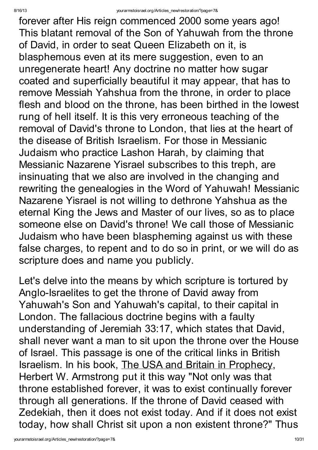#### 8/16/13 yourarmstoisrael.org/Articles\_new/restoration/?page=7&

forever after His reign commenced 2000 some years ago! This blatant removal of the Son of Yahuwah from the throne of David, in order to seat Queen Elizabeth on it, is blasphemous even at its mere suggestion, even to an unregenerate heart! Any doctrine no matter how sugar coated and superficially beautiful it may appear, that has to remove Messiah Yahshua from the throne, in order to place flesh and blood on the throne, has been birthed in the lowest rung of hell itself. It is this very erroneous teaching of the removal of David's throne to London, that lies at the heart of the disease of British Israelism. For those in Messianic Judaism who practice Lashon Harah, by claiming that Messianic Nazarene Yisrael subscribes to this treph, are insinuating that we also are involved in the changing and rewriting the genealogies in the Word of Yahuwah! Messianic Nazarene Yisrael is not willing to dethrone Yahshua as the eternal King the Jews and Master of our lives, so as to place someone else on David's throne! We call those of Messianic Judaism who have been blaspheming against us with these false charges, to repent and to do so in print, or we will do as scripture does and name you publicly.

Let's delve into the means by which scripture is tortured by Anglo-Israelites to get the throne of David away from Yahuwah's Son and Yahuwah's capital, to their capital in London. The fallacious doctrine begins with a faulty understanding of Jeremiah 33:17, which states that David, shall never want a man to sit upon the throne over the House of Israel. This passage is one of the critical links in British Israelism. In his book, The USA and Britain in Prophecy, Herbert W. Armstrong put it this way "Not only was that throne established forever, it was to exist continually forever through all generations. If the throne of David ceased with Zedekiah, then it does not exist today. And if it does not exist today, how shall Christ sit upon a non existent throne?" Thus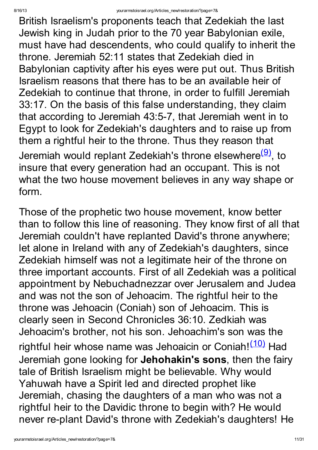British Israelism's proponents teach that Zedekiah the last Jewish king in Judah prior to the 70 year Babylonian exile, must have had descendents, who could qualify to inherit the throne. Jeremiah 52:11 states that Zedekiah died in Babylonian captivity after his eyes were put out. Thus British Israelism reasons that there has to be an available heir of Zedekiah to continue that throne, in order to fulfill Jeremiah 33:17. On the basis of this false understanding, they claim that according to Jeremiah 43:5-7, that Jeremiah went in to Egypt to look for Zedekiah's daughters and to raise up from them a rightful heir to the throne. Thus they reason that Jeremiah would replant Zedekiah's throne elsewhere<sup>[\(9\)](http://yourarmstoisrael.org/Articles_new/restoration/?page=7&#N_9_)</sup>, to insure that every generation had an occupant. This is not what the two house movement believes in any way shape or form.

Those of the prophetic two house movement, know better than to follow this line of reasoning. They know first of all that Jeremiah couldn't have replanted David's throne anywhere; let alone in Ireland with any of Zedekiah's daughters, since Zedekiah himself was not a legitimate heir of the throne on three important accounts. First of all Zedekiah was a political appointment by Nebuchadnezzar over Jerusalem and Judea and was not the son of Jehoacim. The rightful heir to the throne was Jehoacin (Coniah) son of Jehoacim. This is clearly seen in Second Chronicles 36:10. Zedkiah was Jehoacim's brother, not his son. Jehoachim's son was the rightful heir whose name was Jehoaicin or Coniah!<sup>[\(10\)](http://yourarmstoisrael.org/Articles_new/restoration/?page=7&#N_10_)</sup> Had Jeremiah gone looking for Jehohakin's sons, then the fairy tale of British Israelism might be believable. Why would Yahuwah have a Spirit led and directed prophet like Jeremiah, chasing the daughters of a man who was not a rightful heir to the Davidic throne to begin with? He would never re-plant David's throne with Zedekiah's daughters! He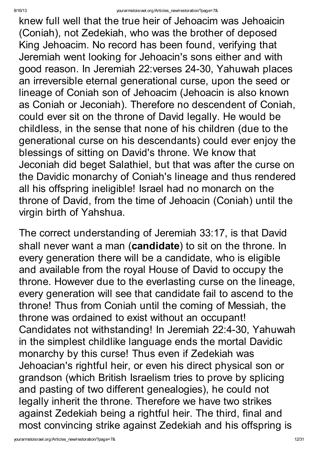knew full well that the true heir of Jehoacim was Jehoaicin (Coniah), not Zedekiah, who was the brother of deposed King Jehoacim. No record has been found, verifying that Jeremiah went looking for Jehoacin's sons either and with good reason. In Jeremiah 22:verses 24-30, Yahuwah places an irreversible eternal generational curse, upon the seed or lineage of Coniah son of Jehoacim (Jehoacin is also known as Coniah or Jeconiah). Therefore no descendent of Coniah, could ever sit on the throne of David legally. He would be childless, in the sense that none of his children (due to the generational curse on his descendants) could ever enjoy the blessings of sitting on David's throne. We know that Jeconiah did beget Salathiel, but that was after the curse on the Davidic monarchy of Coniah's lineage and thus rendered all his offspring ineligible! Israel had no monarch on the throne of David, from the time of Jehoacin (Coniah) until the virgin birth of Yahshua.

The correct understanding of Jeremiah 33:17, is that David shall never want a man (candidate) to sit on the throne. In every generation there will be a candidate, who is eligible and available from the royal House of David to occupy the throne. However due to the everlasting curse on the lineage, every generation will see that candidate fail to ascend to the throne! Thus from Coniah until the coming of Messiah, the throne was ordained to exist without an occupant! Candidates not withstanding! In Jeremiah 22:4-30, Yahuwah in the simplest childlike language ends the mortal Davidic monarchy by this curse! Thus even if Zedekiah was Jehoacian's rightful heir, or even his direct physical son or grandson (which British Israelism tries to prove by splicing and pasting of two different genealogies), he could not legally inherit the throne. Therefore we have two strikes against Zedekiah being a rightful heir. The third, final and most convincing strike against Zedekiah and his offspring is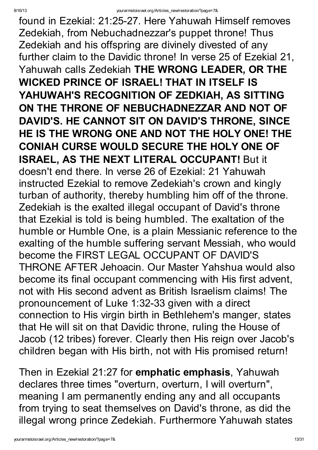found in Ezekial: 21:25-27. Here Yahuwah Himself removes Zedekiah, from Nebuchadnezzar's puppet throne! Thus Zedekiah and his offspring are divinely divested of any further claim to the Davidic throne! In verse 25 of Ezekial 21, Yahuwah calls Zedekiah THE WRONG LEADER, OR THE WICKED PRINCE OF ISRAEL! THAT IN ITSELF IS YAHUWAH'S RECOGNITION OF ZEDKIAH, AS SITTING ON THE THRONE OF NEBUCHADNEZZAR AND NOT OF DAVID'S. HE CANNOT SIT ON DAVID'S THRONE, SINCE HE IS THE WRONG ONE AND NOT THE HOLY ONE! THE CONIAH CURSE WOULD SECURE THE HOLY ONE OF ISRAEL, AS THE NEXT LITERAL OCCUPANT! But it doesn't end there. In verse 26 of Ezekial: 21 Yahuwah instructed Ezekial to remove Zedekiah's crown and kingly turban of authority, thereby humbling him off of the throne. Zedekiah is the exalted illegal occupant of David's throne that Ezekial is told is being humbled. The exaltation of the humble or Humble One, is a plain Messianic reference to the exalting of the humble suffering servant Messiah, who would become the FIRST LEGAL OCCUPANT OF DAVID'S THRONE AFTER Jehoacin. Our Master Yahshua would also become its final occupant commencing with His first advent, not with His second advent as British Israelism claims! The pronouncement of Luke 1:32-33 given with a direct connection to His virgin birth in Bethlehem's manger, states that He will sit on that Davidic throne, ruling the House of Jacob (12 tribes) forever. Clearly then His reign over Jacob's children began with His birth, not with His promised return!

Then in Ezekial 21:27 for emphatic emphasis, Yahuwah declares three times "overturn, overturn, I will overturn" , meaning I am permanently ending any and all occupants from trying to seat themselves on David's throne, as did the illegal wrong prince Zedekiah. Furthermore Yahuwah states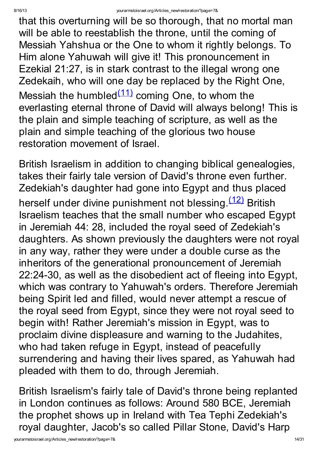that this overturning will be so thorough, that no mortal man will be able to reestablish the throne, until the coming of Messiah Yahshua or the One to whom it rightly belongs. To Him alone Yahuwah will give it! This pronouncement in Ezekial 21:27, is in stark contrast to the illegal wrong one Zedekaih, who will one day be replaced by the Right One, Messiah the humbled<sup>[\(11\)](http://yourarmstoisrael.org/Articles_new/restoration/?page=7&#N_11_)</sup> coming One, to whom the everlasting eternal throne of David will always belong! This is the plain and simple teaching of scripture, as well as the plain and simple teaching of the glorious two house restoration movement of Israel.

British Israelism in addition to changing biblical genealogies, takes their fairly tale version of David's throne even further. Zedekiah's daughter had gone into Egypt and thus placed herself under divine punishment not blessing. [\(12\)](http://yourarmstoisrael.org/Articles_new/restoration/?page=7&#N_12_) British Israelism teaches that the small number who escaped Egypt in Jeremiah 44: 28, included the royal seed of Zedekiah's daughters. As shown previously the daughters were not royal in any way, rather they were under a double curse as the inheritors of the generational pronouncement of Jeremiah 22:24-30, as well as the disobedient act of fleeing into Egypt, which was contrary to Yahuwah's orders. Therefore Jeremiah being Spirit led and filled, would never attempt a rescue of the royal seed from Egypt, since they were not royal seed to begin with! Rather Jeremiah's mission in Egypt, was to proclaim divine displeasure and warning to the Judahites, who had taken refuge in Egypt, instead of peacefully surrendering and having their lives spared, as Yahuwah had pleaded with them to do, through Jeremiah.

British Israelism's fairly tale of David's throne being replanted in London continues as follows: Around 580 BCE, Jeremiah the prophet shows up in Ireland with Tea Tephi Zedekiah's royal daughter, Jacob's so called Pillar Stone, David's Harp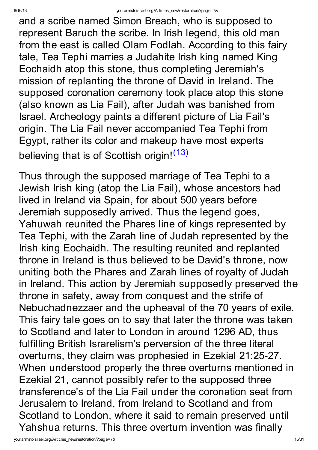and a scribe named Simon Breach, who is supposed to represent Baruch the scribe. In Irish legend, this old man from the east is called Olam Fodlah. According to this fairy tale, Tea Tephi marries a Judahite Irish king named King Eochaidh atop this stone, thus completing Jeremiah's mission of replanting the throne of David in Ireland. The supposed coronation ceremony took place atop this stone (also known as Lia Fail), after Judah was banished from Israel. Archeology paints a different picture of Lia Fail's origin. The Lia Fail never accompanied Tea Tephi from Egypt, rather its color and makeup have most experts believing that is of Scottish origin! [\(13\)](http://yourarmstoisrael.org/Articles_new/restoration/?page=7&#N_13_)

Thus through the supposed marriage of Tea Tephi to a Jewish Irish king (atop the Lia Fail), whose ancestors had lived in Ireland via Spain, for about 500 years before Jeremiah supposedly arrived. Thus the legend goes, Yahuwah reunited the Phares line of kings represented by Tea Tephi, with the Zarah line of Judah represented by the Irish king Eochaidh. The resulting reunited and replanted throne in Ireland is thus believed to be David's throne, now uniting both the Phares and Zarah lines of royalty of Judah in Ireland. This action by Jeremiah supposedly preserved the throne in safety, away from conquest and the strife of Nebuchadnezzaer and the upheaval of the 70 years of exile. This fairy tale goes on to say that later the throne was taken to Scotland and later to London in around 1296 AD, thus fulfilling British Israrelism's perversion of the three literal overturns, they claim was prophesied in Ezekial 21:25-27. When understood properly the three overturns mentioned in Ezekial 21, cannot possibly refer to the supposed three transference's of the Lia Fail under the coronation seat from Jerusalem to Ireland, from Ireland to Scotland and from Scotland to London, where it said to remain preserved until Yahshua returns. This three overturn invention was finally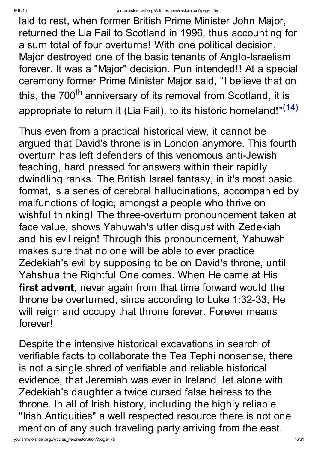laid to rest, when former British Prime Minister John Major, returned the Lia Fail to Scotland in 1996, thus accounting for a sum total of four overturns! With one political decision, Major destroyed one of the basic tenants of Anglo-Israelism forever. It was a "Major" decision. Pun intended!! At a special ceremony former Prime Minister Major said, "I believe that on this, the 700<sup>th</sup> anniversary of its removal from Scotland, it is appropriate to return it (Lia Fail), to its historic homeland!"<sup>[\(14\)](http://yourarmstoisrael.org/Articles_new/restoration/?page=7&#N_14_)</sup>

Thus even from a practical historical view, it cannot be argued that David's throne is in London anymore. This fourth overturn has left defenders of this venomous anti-Jewish teaching, hard pressed for answers within their rapidly dwindling ranks. The British Israel fantasy, in it's most basic format, is a series of cerebral hallucinations, accompanied by malfunctions of logic, amongst a people who thrive on wishful thinking! The three-overturn pronouncement taken at face value, shows Yahuwah's utter disgust with Zedekiah and his evil reign! Through this pronouncement, Yahuwah makes sure that no one will be able to ever practice Zedekiah's evil by supposing to be on David's throne, until Yahshua the Rightful One comes. When He came at His first advent, never again from that time forward would the throne be overturned, since according to Luke 1:32-33, He will reign and occupy that throne forever. Forever means forever!

Despite the intensive historical excavations in search of verifiable facts to collaborate the Tea Tephi nonsense, there is not a single shred of verifiable and reliable historical evidence, that Jeremiah was ever in Ireland, let alone with Zedekiah's daughter a twice cursed false heiress to the throne. In all of Irish history, including the highly reliable "Irish Antiquities" a well respected resource there is not one mention of any such traveling party arriving from the east.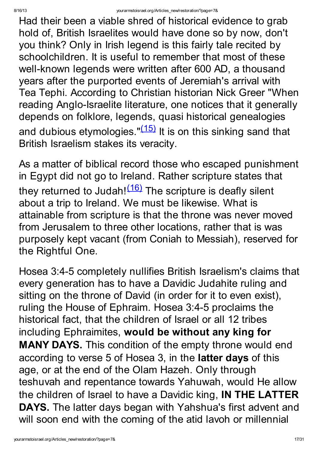Had their been a viable shred of historical evidence to grab hold of, British Israelites would have done so by now, don't you think? Only in Irish legend is this fairly tale recited by schoolchildren. It is useful to remember that most of these well-known legends were written after 600 AD, a thousand years after the purported events of Jeremiah's arrival with Tea Tephi. According to Christian historian Nick Greer "When reading Anglo-Israelite literature, one notices that it generally depends on folklore, legends, quasi historical genealogies and dubious etymologies."<sup>[\(15\)](http://yourarmstoisrael.org/Articles_new/restoration/?page=7&#N_15_)</sup> It is on this sinking sand that British Israelism stakes its veracity.

As a matter of biblical record those who escaped punishment in Egypt did not go to Ireland. Rather scripture states that they returned to Judah!<sup>[\(16\)](http://yourarmstoisrael.org/Articles_new/restoration/?page=7&#N_16_)</sup> The scripture is deafly silent about a trip to Ireland. We must be likewise. What is attainable from scripture is that the throne was never moved from Jerusalem to three other locations, rather that is was purposely kept vacant (from Coniah to Messiah), reserved for the Rightful One.

Hosea 3:4-5 completely nullifies British Israelism's claims that every generation has to have a Davidic Judahite ruling and sitting on the throne of David (in order for it to even exist), ruling the House of Ephraim. Hosea 3:4-5 proclaims the historical fact, that the children of Israel or all 12 tribes including Ephraimites, would be without any king for MANY DAYS. This condition of the empty throne would end according to verse 5 of Hosea 3, in the latter days of this age, or at the end of the Olam Hazeh. Only through teshuvah and repentance towards Yahuwah, would He allow the children of Israel to have a Davidic king, IN THE LATTER DAYS. The latter days began with Yahshua's first advent and will soon end with the coming of the atid lavoh or millennial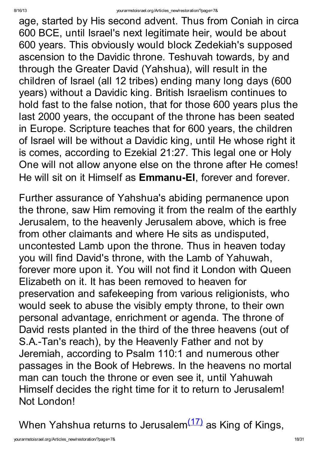age, started by His second advent. Thus from Coniah in circa 600 BCE, until Israel's next legitimate heir, would be about 600 years. This obviously would block Zedekiah's supposed ascension to the Davidic throne. Teshuvah towards, by and through the Greater David (Yahshua), will result in the children of Israel (all 12 tribes) ending many long days (600 years) without a Davidic king. British Israelism continues to hold fast to the false notion, that for those 600 years plus the last 2000 years, the occupant of the throne has been seated in Europe. Scripture teaches that for 600 years, the children of Israel will be without a Davidic king, until He whose right it is comes, according to Ezekial 21:27. This legal one or Holy One will not allow anyone else on the throne after He comes! He will sit on it Himself as Emmanu-El, forever and forever.

Further assurance of Yahshua's abiding permanence upon the throne, saw Him removing it from the realm of the earthly Jerusalem, to the heavenly Jerusalem above, which is free from other claimants and where He sits as undisputed, uncontested Lamb upon the throne. Thus in heaven today you will find David's throne, with the Lamb of Yahuwah, forever more upon it. You will not find it London with Queen Elizabeth on it. It has been removed to heaven for preservation and safekeeping from various religionists, who would seek to abuse the visibly empty throne, to their own personal advantage, enrichment or agenda. The throne of David rests planted in the third of the three heavens (out of S.A.-Tan's reach), by the Heavenly Father and not by Jeremiah, according to Psalm 110:1 and numerous other passages in the Book of Hebrews. In the heavens no mortal man can touch the throne or even see it, until Yahuwah Himself decides the right time for it to return to Jerusalem! Not London!

When Yahshua returns to Jerusalem $(17)$  as King of Kings,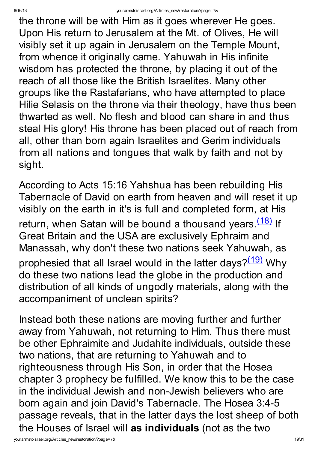the throne will be with Him as it goes wherever He goes. Upon His return to Jerusalem at the Mt. of Olives, He will visibly set it up again in Jerusalem on the Temple Mount, from whence it originally came. Yahuwah in His infinite wisdom has protected the throne, by placing it out of the reach of all those like the British Israelites. Many other groups like the Rastafarians, who have attempted to place Hilie Selasis on the throne via their theology, have thus been thwarted as well. No flesh and blood can share in and thus steal His glory! His throne has been placed out of reach from all, other than born again Israelites and Gerim individuals from all nations and tongues that walk by faith and not by sight.

According to Acts 15:16 Yahshua has been rebuilding His Tabernacle of David on earth from heaven and will reset it up visibly on the earth in it's is full and completed form, at His return, when Satan will be bound a thousand years.<sup>[\(18\)](http://yourarmstoisrael.org/Articles_new/restoration/?page=7&#N_18_)</sup> If Great Britain and the USA are exclusively Ephraim and Manassah, why don't these two nations seek Yahuwah, as prophesied that all Israel would in the latter days?<sup>[\(19\)](http://yourarmstoisrael.org/Articles_new/restoration/?page=7&#N_19_)</sup> Why do these two nations lead the globe in the production and distribution of all kinds of ungodly materials, along with the accompaniment of unclean spirits?

Instead both these nations are moving further and further away from Yahuwah, not returning to Him. Thus there must be other Ephraimite and Judahite individuals, outside these two nations, that are returning to Yahuwah and to righteousness through His Son, in order that the Hosea chapter 3 prophecy be fulfilled. We know this to be the case in the individual Jewish and non-Jewish believers who are born again and join David's Tabernacle. The Hosea 3:4-5 passage reveals, that in the latter days the lost sheep of both the Houses of Israel will as individuals (not as the two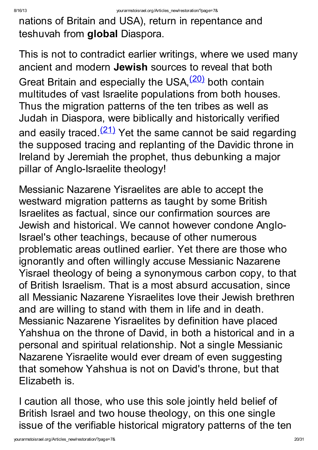nations of Britain and USA), return in repentance and teshuvah from global Diaspora.

This is not to contradict earlier writings, where we used many ancient and modern Jewish sources to reveal that both Great Britain and especially the USA, <sup>[\(20\)](http://yourarmstoisrael.org/Articles_new/restoration/?page=7&#N_20_)</sup> both contain multitudes of vast Israelite populations from both houses. Thus the migration patterns of the ten tribes as well as Judah in Diaspora, were biblically and historically verified and easily traced.<sup>[\(21\)](http://yourarmstoisrael.org/Articles_new/restoration/?page=7&#N_21_)</sup> Yet the same cannot be said regarding the supposed tracing and replanting of the Davidic throne in Ireland by Jeremiah the prophet, thus debunking a major pillar of Anglo-Israelite theology!

Messianic Nazarene Yisraelites are able to accept the westward migration patterns as taught by some British Israelites as factual, since our confirmation sources are Jewish and historical. We cannot however condone Anglo-Israel's other teachings, because of other numerous problematic areas outlined earlier. Yet there are those who ignorantly and often willingly accuse Messianic Nazarene Yisrael theology of being a synonymous carbon copy, to that of British Israelism. That is a most absurd accusation, since all Messianic Nazarene Yisraelites love their Jewish brethren and are willing to stand with them in life and in death. Messianic Nazarene Yisraelites by definition have placed Yahshua on the throne of David, in both a historical and in a personal and spiritual relationship. Not a single Messianic Nazarene Yisraelite would ever dream of even suggesting that somehow Yahshua is not on David's throne, but that Elizabeth is.

I caution all those, who use this sole jointly held belief of British Israel and two house theology, on this one single issue of the verifiable historical migratory patterns of the ten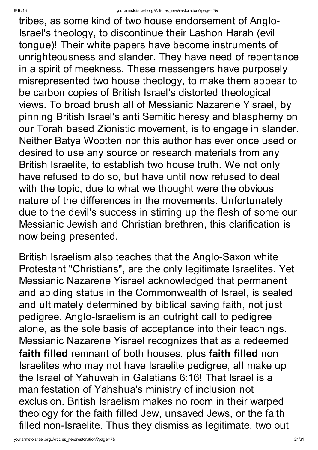tribes, as some kind of two house endorsement of Anglo-Israel's theology, to discontinue their Lashon Harah (evil tongue)! Their white papers have become instruments of unrighteousness and slander. They have need of repentance in a spirit of meekness. These messengers have purposely misrepresented two house theology, to make them appear to be carbon copies of British Israel's distorted theological views. To broad brush all of Messianic Nazarene Yisrael, by pinning British Israel's anti Semitic heresy and blasphemy on our Torah based Zionistic movement, is to engage in slander. Neither Batya Wootten nor this author has ever once used or desired to use any source or research materials from any British Israelite, to establish two house truth. We not only have refused to do so, but have until now refused to deal with the topic, due to what we thought were the obvious nature of the differences in the movements. Unfortunately due to the devil's success in stirring up the flesh of some our Messianic Jewish and Christian brethren, this clarification is now being presented.

British Israelism also teaches that the Anglo-Saxon white Protestant "Christians" , are the only legitimate Israelites. Yet Messianic Nazarene Yisrael acknowledged that permanent and abiding status in the Commonwealth of Israel, is sealed and ultimately determined by biblical saving faith, not just pedigree. Anglo-Israelism is an outright call to pedigree alone, as the sole basis of acceptance into their teachings. Messianic Nazarene Yisrael recognizes that as a redeemed faith filled remnant of both houses, plus faith filled non Israelites who may not have Israelite pedigree, all make up the Israel of Yahuwah in Galatians 6:16! That Israel is a manifestation of Yahshua's ministry of inclusion not exclusion. British Israelism makes no room in their warped theology for the faith filled Jew, unsaved Jews, or the faith filled non-Israelite. Thus they dismiss as legitimate, two out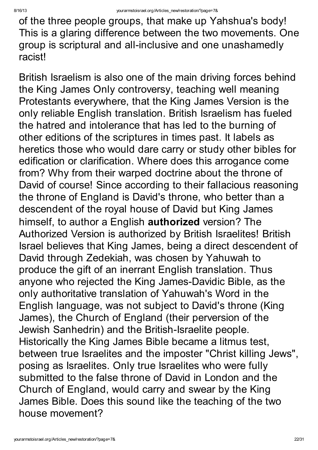of the three people groups, that make up Yahshua's body! This is a glaring difference between the two movements. One group is scriptural and all-inclusive and one unashamedly racist!

British Israelism is also one of the main driving forces behind the King James Only controversy, teaching well meaning Protestants everywhere, that the King James Version is the only reliable English translation. British Israelism has fueled the hatred and intolerance that has led to the burning of other editions of the scriptures in times past. It labels as heretics those who would dare carry or study other bibles for edification or clarification. Where does this arrogance come from? Why from their warped doctrine about the throne of David of course! Since according to their fallacious reasoning the throne of England is David's throne, who better than a descendent of the royal house of David but King James himself, to author a English **authorized** version? The Authorized Version is authorized by British Israelites! British Israel believes that King James, being a direct descendent of David through Zedekiah, was chosen by Yahuwah to produce the gift of an inerrant English translation. Thus anyone who rejected the King James-Davidic Bible, as the only authoritative translation of Yahuwah's Word in the English language, was not subject to David's throne (King James), the Church of England (their perversion of the Jewish Sanhedrin) and the British-Israelite people. Historically the King James Bible became a litmus test, between true Israelites and the imposter "Christ killing Jews" , posing as Israelites. Only true Israelites who were fully submitted to the false throne of David in London and the Church of England, would carry and swear by the King James Bible. Does this sound like the teaching of the two house movement?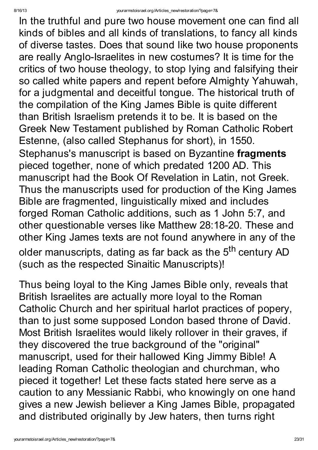In the truthful and pure two house movement one can find all kinds of bibles and all kinds of translations, to fancy all kinds of diverse tastes. Does that sound like two house proponents are really Anglo-Israelites in new costumes? It is time for the critics of two house theology, to stop lying and falsifying their so called white papers and repent before Almighty Yahuwah, for a judgmental and deceitful tongue. The historical truth of the compilation of the King James Bible is quite different than British Israelism pretends it to be. It is based on the Greek New Testament published by Roman Catholic Robert Estenne, (also called Stephanus for short), in 1550. Stephanus's manuscript is based on Byzantine fragments pieced together, none of which predated 1200 AD. This manuscript had the Book Of Revelation in Latin, not Greek. Thus the manuscripts used for production of the King James Bible are fragmented, linguistically mixed and includes forged Roman Catholic additions, such as 1 John 5:7, and other questionable verses like Matthew 28:18-20. These and other King James texts are not found anywhere in any of the older manuscripts, dating as far back as the 5<sup>th</sup> century AD (such as the respected Sinaitic Manuscripts)!

Thus being loyal to the King James Bible only, reveals that British Israelites are actually more loyal to the Roman Catholic Church and her spiritual harlot practices of popery, than to just some supposed London based throne of David. Most British Israelites would likely rollover in their graves, if they discovered the true background of the "original" manuscript, used for their hallowed King Jimmy Bible! A leading Roman Catholic theologian and churchman, who pieced it together! Let these facts stated here serve as a caution to any Messianic Rabbi, who knowingly on one hand gives a new Jewish believer a King James Bible, propagated and distributed originally by Jew haters, then turns right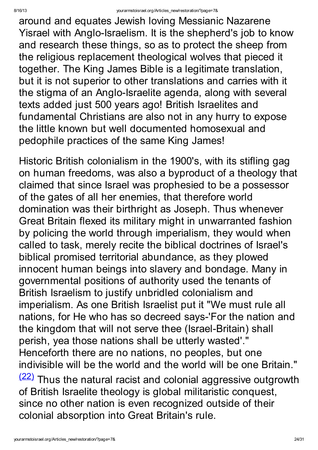around and equates Jewish loving Messianic Nazarene Yisrael with Anglo-Israelism. It is the shepherd's job to know and research these things, so as to protect the sheep from the religious replacement theological wolves that pieced it together. The King James Bible is a legitimate translation, but it is not superior to other translations and carries with it the stigma of an Anglo-Israelite agenda, along with several texts added just 500 years ago! British Israelites and fundamental Christians are also not in any hurry to expose the little known but well documented homosexual and pedophile practices of the same King James!

Historic British colonialism in the 1900's, with its stifling gag on human freedoms, was also a byproduct of a theology that claimed that since Israel was prophesied to be a possessor of the gates of all her enemies, that therefore world domination was their birthright as Joseph. Thus whenever Great Britain flexed its military might in unwarranted fashion by policing the world through imperialism, they would when called to task, merely recite the biblical doctrines of Israel's biblical promised territorial abundance, as they plowed innocent human beings into slavery and bondage. Many in governmental positions of authority used the tenants of British Israelism to justify unbridled colonialism and imperialism. As one British Israelist put it "We must rule all nations, for He who has so decreed says-'For the nation and the kingdom that will not serve thee (Israel-Britain) shall perish, yea those nations shall be utterly wasted'." Henceforth there are no nations, no peoples, but one indivisible will be the world and the world will be one Britain."  $(22)$  Thus the natural racist and colonial aggressive outgrowth of British Israelite theology is global militaristic conquest, since no other nation is even recognized outside of their colonial absorption into Great Britain's rule.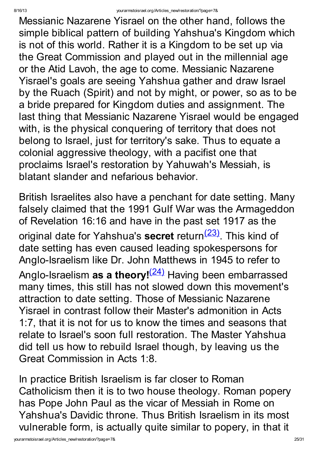Messianic Nazarene Yisrael on the other hand, follows the simple biblical pattern of building Yahshua's Kingdom which is not of this world. Rather it is a Kingdom to be set up via the Great Commission and played out in the millennial age or the Atid Lavoh, the age to come. Messianic Nazarene Yisrael's goals are seeing Yahshua gather and draw Israel by the Ruach (Spirit) and not by might, or power, so as to be a bride prepared for Kingdom duties and assignment. The last thing that Messianic Nazarene Yisrael would be engaged with, is the physical conquering of territory that does not belong to Israel, just for territory's sake. Thus to equate a colonial aggressive theology, with a pacifist one that proclaims Israel's restoration by Yahuwah's Messiah, is blatant slander and nefarious behavior.

British Israelites also have a penchant for date setting. Many falsely claimed that the 1991 Gulf War was the Armageddon of Revelation 16:16 and have in the past set 1917 as the original date for Yahshua's secret return<sup>[\(23\)](http://yourarmstoisrael.org/Articles_new/restoration/?page=7&#N_23_)</sup>. This kind of date setting has even caused leading spokespersons for Anglo-Israelism like Dr. John Matthews in 1945 to refer to Anglo-Israelism **as a theory!<sup>[\(24\)](http://yourarmstoisrael.org/Articles_new/restoration/?page=7&#N_24_)</sup> H**aving been embarrassed many times, this still has not slowed down this movement's attraction to date setting. Those of Messianic Nazarene Yisrael in contrast follow their Master's admonition in Acts 1:7, that it is not for us to know the times and seasons that relate to Israel's soon full restoration. The Master Yahshua did tell us how to rebuild Israel though, by leaving us the Great Commission in Acts 1:8.

In practice British Israelism is far closer to Roman Catholicism then it is to two house theology. Roman popery has Pope John Paul as the vicar of Messiah in Rome on Yahshua's Davidic throne. Thus British Israelism in its most vulnerable form, is actually quite similar to popery, in that it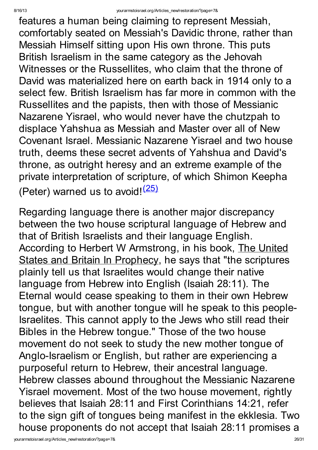features a human being claiming to represent Messiah, comfortably seated on Messiah's Davidic throne, rather than Messiah Himself sitting upon His own throne. This puts British Israelism in the same category as the Jehovah Witnesses or the Russellites, who claim that the throne of David was materialized here on earth back in 1914 only to a select few. British Israelism has far more in common with the Russellites and the papists, then with those of Messianic Nazarene Yisrael, who would never have the chutzpah to displace Yahshua as Messiah and Master over all of New Covenant Israel. Messianic Nazarene Yisrael and two house truth, deems these secret advents of Yahshua and David's throne, as outright heresy and an extreme example of the private interpretation of scripture, of which Shimon Keepha (Peter) warned us to avoid!<sup>[\(25\)](http://yourarmstoisrael.org/Articles_new/restoration/?page=7&#N_25_)</sup>

Regarding language there is another major discrepancy between the two house scriptural language of Hebrew and that of British Israelists and their language English. According to Herbert W Armstrong, in his book, The United States and Britain In Prophecy, he says that "the scriptures plainly tell us that Israelites would change their native language from Hebrew into English (Isaiah 28:11). The Eternal would cease speaking to them in their own Hebrew tongue, but with another tongue will he speak to this people-Israelites. This cannot apply to the Jews who still read their Bibles in the Hebrew tongue." Those of the two house movement do not seek to study the new mother tongue of Anglo-Israelism or English, but rather are experiencing a purposeful return to Hebrew, their ancestral language. Hebrew classes abound throughout the Messianic Nazarene Yisrael movement. Most of the two house movement, rightly believes that Isaiah 28:11 and First Corinthians 14:21, refer to the sign gift of tongues being manifest in the ekklesia. Two house proponents do not accept that Isaiah 28:11 promises a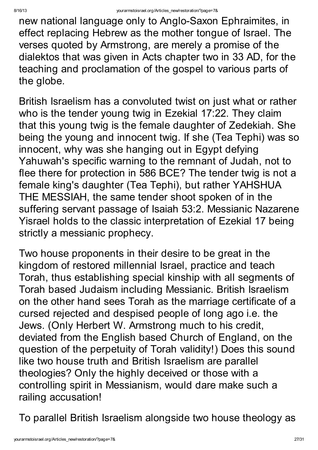new national language only to Anglo-Saxon Ephraimites, in effect replacing Hebrew as the mother tongue of Israel. The verses quoted by Armstrong, are merely a promise of the dialektos that was given in Acts chapter two in 33 AD, for the teaching and proclamation of the gospel to various parts of the globe.

British Israelism has a convoluted twist on just what or rather who is the tender young twig in Ezekial 17:22. They claim that this young twig is the female daughter of Zedekiah. She being the young and innocent twig. If she (Tea Tephi) was so innocent, why was she hanging out in Egypt defying Yahuwah's specific warning to the remnant of Judah, not to flee there for protection in 586 BCE? The tender twig is not a female king's daughter (Tea Tephi), but rather YAHSHUA THE MESSIAH, the same tender shoot spoken of in the suffering servant passage of Isaiah 53:2. Messianic Nazarene Yisrael holds to the classic interpretation of Ezekial 17 being strictly a messianic prophecy.

Two house proponents in their desire to be great in the kingdom of restored millennial Israel, practice and teach Torah, thus establishing special kinship with all segments of Torah based Judaism including Messianic. British Israelism on the other hand sees Torah as the marriage certificate of a cursed rejected and despised people of long ago i.e. the Jews. (Only Herbert W. Armstrong much to his credit, deviated from the English based Church of England, on the question of the perpetuity of Torah validity!) Does this sound like two house truth and British Israelism are parallel theologies? Only the highly deceived or those with a controlling spirit in Messianism, would dare make such a railing accusation!

To parallel British Israelism alongside two house theology as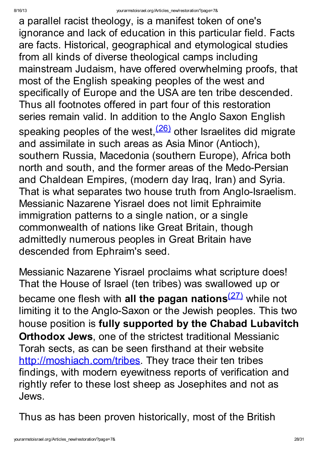a parallel racist theology, is a manifest token of one's ignorance and lack of education in this particular field. Facts are facts. Historical, geographical and etymological studies from all kinds of diverse theological camps including mainstream Judaism, have offered overwhelming proofs, that most of the English speaking peoples of the west and specifically of Europe and the USA are ten tribe descended. Thus all footnotes offered in part four of this restoration series remain valid. In addition to the Anglo Saxon English speaking peoples of the west,<sup>[\(26\)](http://yourarmstoisrael.org/Articles_new/restoration/?page=7&#N_26_)</sup> other Israelites did migrate and assimilate in such areas as Asia Minor (Antioch), southern Russia, Macedonia (southern Europe), Africa both north and south, and the former areas of the Medo-Persian and Chaldean Empires, (modern day Iraq, Iran) and Syria. That is what separates two house truth from Anglo-Israelism. Messianic Nazarene Yisrael does not limit Ephraimite immigration patterns to a single nation, or a single commonwealth of nations like Great Britain, though admittedly numerous peoples in Great Britain have descended from Ephraim's seed.

Messianic Nazarene Yisrael proclaims what scripture does! That the House of Israel (ten tribes) was swallowed up or became one flesh with all the pagan nations<sup>[\(27\)](http://yourarmstoisrael.org/Articles_new/restoration/?page=7&#N_27_)</sup> while not limiting it to the Anglo-Saxon or the Jewish peoples. This two house position is fully supported by the Chabad Lubavitch Orthodox Jews, one of the strictest traditional Messianic Torah sects, as can be seen firsthand at their website [http://moshiach.com/tribes.](http://moshiach.com/tribes) They trace their ten tribes findings, with modern eyewitness reports of verification and rightly refer to these lost sheep as Josephites and not as Jews.

Thus as has been proven historically, most of the British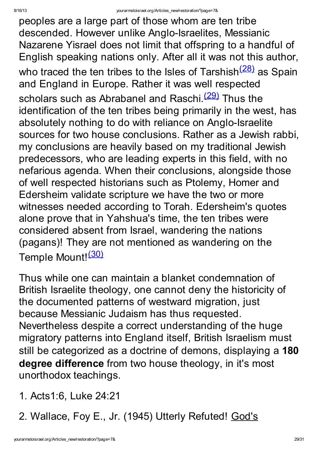peoples are a large part of those whom are ten tribe descended. However unlike Anglo-Israelites, Messianic Nazarene Yisrael does not limit that offspring to a handful of English speaking nations only. After all it was not this author, who traced the ten tribes to the Isles of Tarshish<sup>[\(28\)](http://yourarmstoisrael.org/Articles_new/restoration/?page=7&#N_28_)</sup> as Spain and England in Europe. Rather it was well respected scholars such as Abrabanel and Raschi.<sup>[\(29\)](http://yourarmstoisrael.org/Articles_new/restoration/?page=7&#N_29_)</sup> Thus the identification of the ten tribes being primarily in the west, has absolutely nothing to do with reliance on Anglo-Israelite sources for two house conclusions. Rather as a Jewish rabbi, my conclusions are heavily based on my traditional Jewish predecessors, who are leading experts in this field, with no nefarious agenda. When their conclusions, alongside those of well respected historians such as Ptolemy, Homer and Edersheim validate scripture we have the two or more witnesses needed according to Torah. Edersheim's quotes alone prove that in Yahshua's time, the ten tribes were considered absent from Israel, wandering the nations (pagans)! They are not mentioned as wandering on the Temple Mount!<sup>[\(30\)](http://yourarmstoisrael.org/Articles_new/restoration/?page=7&#N_30_)</sup>

Thus while one can maintain a blanket condemnation of British Israelite theology, one cannot deny the historicity of the documented patterns of westward migration, just because Messianic Judaism has thus requested. Nevertheless despite a correct understanding of the huge migratory patterns into England itself, British Israelism must still be categorized as a doctrine of demons, displaying a 180 degree difference from two house theology, in it's most unorthodox teachings.

- 1. Acts1:6, Luke 24:21
- 2. Wallace, Foy E., Jr. (1945) Utterly Refuted! God's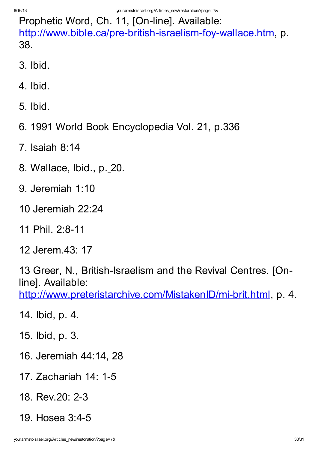Prophetic Word, Ch. 11, [On-line]. Available: <http://www.bible.ca/pre-british-israelism-foy-wallace.htm>, p. 38.

- 3. Ibid.
- 4. Ibid.
- 5. Ibid.
- 6. 1991 World Book Encyclopedia Vol. 21, p.336
- 7. Isaiah 8:14
- 8. Wallace, Ibid., p. 20.
- 9. Jeremiah 1:10
- 10 Jeremiah 22:24
- 11 Phil. 2:8-11
- 12 Jerem.43: 17

13 Greer, N., British-Israelism and the Revival Centres. [Online]. Available:

<http://www.preteristarchive.com/MistakenID/mi-brit.html>, p. 4.

- 14. Ibid, p. 4.
- 15. Ibid, p. 3.
- 16. Jeremiah 44:14, 28
- 17. Zachariah 14: 1-5
- 18. Rev.20: 2-3
- 19. Hosea 3:4-5